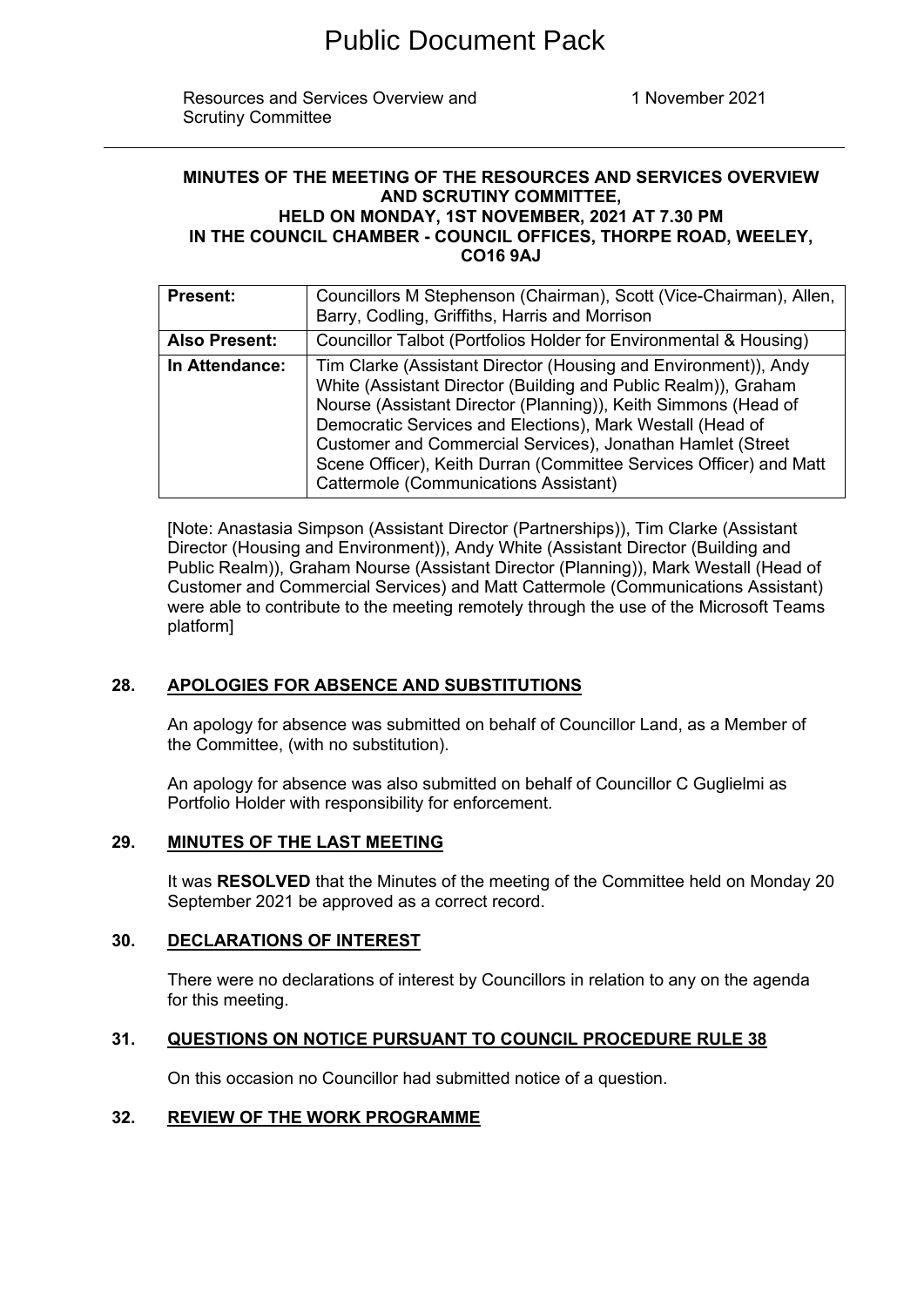Resources and Services Overview and Scrutiny Committee

1 November 2021

#### **MINUTES OF THE MEETING OF THE RESOURCES AND SERVICES OVERVIEW AND SCRUTINY COMMITTEE, HELD ON MONDAY, 1ST NOVEMBER, 2021 AT 7.30 PM IN THE COUNCIL CHAMBER - COUNCIL OFFICES, THORPE ROAD, WEELEY, CO16 9AJ**

| <b>Present:</b>      | Councillors M Stephenson (Chairman), Scott (Vice-Chairman), Allen,<br>Barry, Codling, Griffiths, Harris and Morrison                                                                                                                                                                                                                                                                                                                          |
|----------------------|-----------------------------------------------------------------------------------------------------------------------------------------------------------------------------------------------------------------------------------------------------------------------------------------------------------------------------------------------------------------------------------------------------------------------------------------------|
| <b>Also Present:</b> | Councillor Talbot (Portfolios Holder for Environmental & Housing)                                                                                                                                                                                                                                                                                                                                                                             |
| In Attendance:       | Tim Clarke (Assistant Director (Housing and Environment)), Andy<br>White (Assistant Director (Building and Public Realm)), Graham<br>Nourse (Assistant Director (Planning)), Keith Simmons (Head of<br>Democratic Services and Elections), Mark Westall (Head of<br>Customer and Commercial Services), Jonathan Hamlet (Street<br>Scene Officer), Keith Durran (Committee Services Officer) and Matt<br>Cattermole (Communications Assistant) |

[Note: Anastasia Simpson (Assistant Director (Partnerships)), Tim Clarke (Assistant Director (Housing and Environment)), Andy White (Assistant Director (Building and Public Realm)), Graham Nourse (Assistant Director (Planning)), Mark Westall (Head of Customer and Commercial Services) and Matt Cattermole (Communications Assistant) were able to contribute to the meeting remotely through the use of the Microsoft Teams platform]

## **28. APOLOGIES FOR ABSENCE AND SUBSTITUTIONS**

An apology for absence was submitted on behalf of Councillor Land, as a Member of the Committee, (with no substitution).

An apology for absence was also submitted on behalf of Councillor C Guglielmi as Portfolio Holder with responsibility for enforcement.

# **29. MINUTES OF THE LAST MEETING**

It was **RESOLVED** that the Minutes of the meeting of the Committee held on Monday 20 September 2021 be approved as a correct record.

## **30. DECLARATIONS OF INTEREST**

There were no declarations of interest by Councillors in relation to any on the agenda for this meeting.

## **31. QUESTIONS ON NOTICE PURSUANT TO COUNCIL PROCEDURE RULE 38**

On this occasion no Councillor had submitted notice of a question.

## **32. REVIEW OF THE WORK PROGRAMME**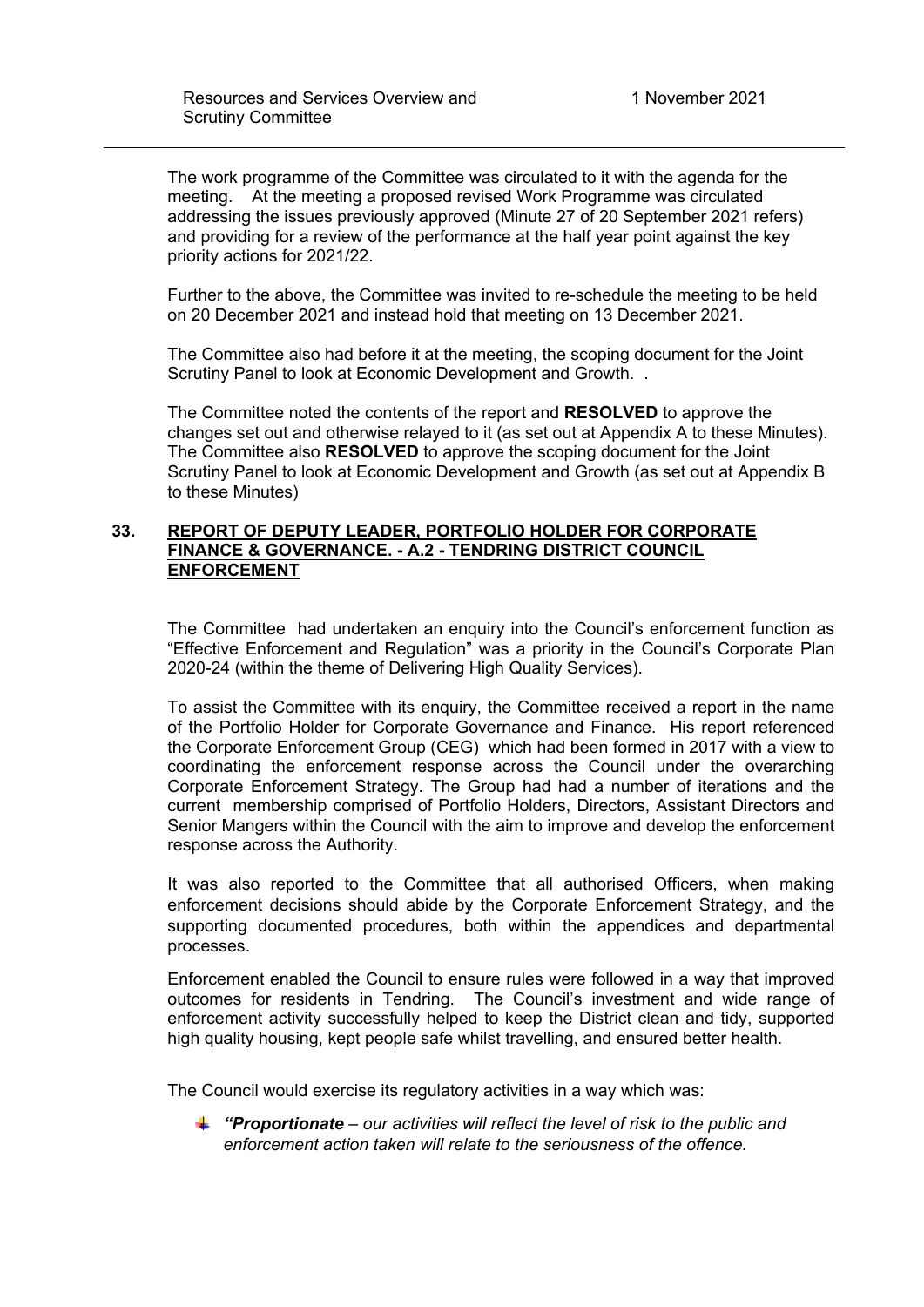The work programme of the Committee was circulated to it with the agenda for the meeting. At the meeting a proposed revised Work Programme was circulated addressing the issues previously approved (Minute 27 of 20 September 2021 refers) and providing for a review of the performance at the half year point against the key priority actions for 2021/22.

Further to the above, the Committee was invited to re-schedule the meeting to be held on 20 December 2021 and instead hold that meeting on 13 December 2021.

The Committee also had before it at the meeting, the scoping document for the Joint Scrutiny Panel to look at Economic Development and Growth. .

The Committee noted the contents of the report and **RESOLVED** to approve the changes set out and otherwise relayed to it (as set out at Appendix A to these Minutes). The Committee also **RESOLVED** to approve the scoping document for the Joint Scrutiny Panel to look at Economic Development and Growth (as set out at Appendix B to these Minutes)

## **33. REPORT OF DEPUTY LEADER, PORTFOLIO HOLDER FOR CORPORATE FINANCE & GOVERNANCE. - A.2 - TENDRING DISTRICT COUNCIL ENFORCEMENT**

The Committee had undertaken an enquiry into the Council's enforcement function as "Effective Enforcement and Regulation" was a priority in the Council's Corporate Plan 2020-24 (within the theme of Delivering High Quality Services).

To assist the Committee with its enquiry, the Committee received a report in the name of the Portfolio Holder for Corporate Governance and Finance. His report referenced the Corporate Enforcement Group (CEG) which had been formed in 2017 with a view to coordinating the enforcement response across the Council under the overarching Corporate Enforcement Strategy. The Group had had a number of iterations and the current membership comprised of Portfolio Holders, Directors, Assistant Directors and Senior Mangers within the Council with the aim to improve and develop the enforcement response across the Authority.

It was also reported to the Committee that all authorised Officers, when making enforcement decisions should abide by the Corporate Enforcement Strategy, and the supporting documented procedures, both within the appendices and departmental processes.

Enforcement enabled the Council to ensure rules were followed in a way that improved outcomes for residents in Tendring. The Council's investment and wide range of enforcement activity successfully helped to keep the District clean and tidy, supported high quality housing, kept people safe whilst travelling, and ensured better health.

The Council would exercise its regulatory activities in a way which was:

*"Proportionate – our activities will reflect the level of risk to the public and enforcement action taken will relate to the seriousness of the offence.*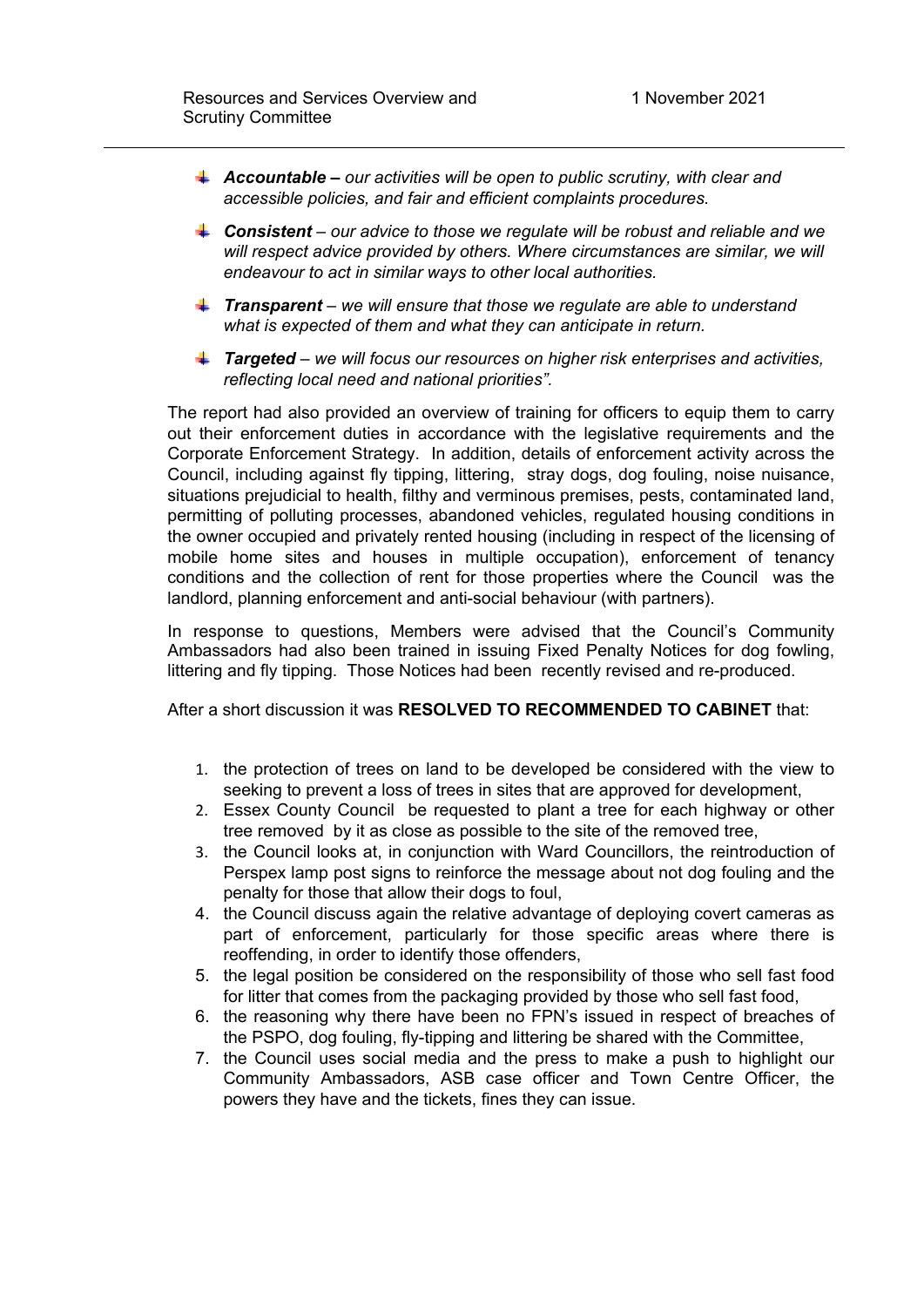- *Accountable – our activities will be open to public scrutiny, with clear and accessible policies, and fair and efficient complaints procedures.*
- *Consistent – our advice to those we regulate will be robust and reliable and we will respect advice provided by others. Where circumstances are similar, we will endeavour to act in similar ways to other local authorities.*
- *Transparent – we will ensure that those we regulate are able to understand what is expected of them and what they can anticipate in return.*
- *Targeted – we will focus our resources on higher risk enterprises and activities, reflecting local need and national priorities".*

The report had also provided an overview of training for officers to equip them to carry out their enforcement duties in accordance with the legislative requirements and the Corporate Enforcement Strategy. In addition, details of enforcement activity across the Council, including against fly tipping, littering, stray dogs, dog fouling, noise nuisance, situations prejudicial to health, filthy and verminous premises, pests, contaminated land, permitting of polluting processes, abandoned vehicles, regulated housing conditions in the owner occupied and privately rented housing (including in respect of the licensing of mobile home sites and houses in multiple occupation), enforcement of tenancy conditions and the collection of rent for those properties where the Council was the landlord, planning enforcement and anti-social behaviour (with partners).

In response to questions, Members were advised that the Council's Community Ambassadors had also been trained in issuing Fixed Penalty Notices for dog fowling, littering and fly tipping. Those Notices had been recently revised and re-produced.

After a short discussion it was **RESOLVED TO RECOMMENDED TO CABINET** that:

- 1. the protection of trees on land to be developed be considered with the view to seeking to prevent a loss of trees in sites that are approved for development,
- 2. Essex County Council be requested to plant a tree for each highway or other tree removed by it as close as possible to the site of the removed tree,
- 3. the Council looks at, in conjunction with Ward Councillors, the reintroduction of Perspex lamp post signs to reinforce the message about not dog fouling and the penalty for those that allow their dogs to foul,
- 4. the Council discuss again the relative advantage of deploying covert cameras as part of enforcement, particularly for those specific areas where there is reoffending, in order to identify those offenders,
- 5. the legal position be considered on the responsibility of those who sell fast food for litter that comes from the packaging provided by those who sell fast food,
- 6. the reasoning why there have been no FPN's issued in respect of breaches of the PSPO, dog fouling, fly-tipping and littering be shared with the Committee,
- 7. the Council uses social media and the press to make a push to highlight our Community Ambassadors, ASB case officer and Town Centre Officer, the powers they have and the tickets, fines they can issue.